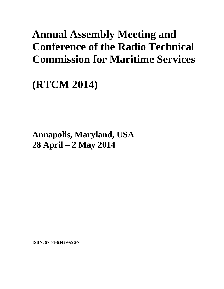## **Annual Assembly Meeting and Conference of the Radio Technical Commission for Maritime Services**

**(RTCM 2014)** 

**Annapolis, Maryland, USA 28 April – 2 May 2014**

**ISBN: 978-1-63439-696-7**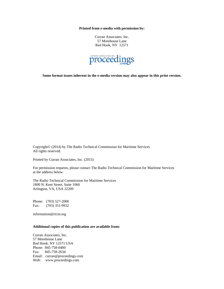**Printed from e-media with permission by:** 

Curran Associates, Inc. 57 Morehouse Lane Red Hook, NY 12571



**Some format issues inherent in the e-media version may also appear in this print version.** 

Copyright© (2014) by The Radio Technical Commission for Maritime Services All rights reserved.

Printed by Curran Associates, Inc. (2015)

For permission requests, please contact The Radio Technical Commission for Maritime Services at the address below.

The Radio Technical Commission for Maritime Services 1800 N. Kent Street, Suite 1060 Arlington, VA, USA 22209

Phone: (703) 527-2000 Fax: (703) 351-9932

information@rtcm.org

## **Additional copies of this publication are available from:**

Curran Associates, Inc. 57 Morehouse Lane Red Hook, NY 12571 USA Phone: 845-758-0400 Fax: 845-758-2634 Email: curran@proceedings.com Web: www.proceedings.com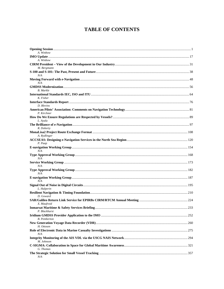## **TABLE OF CONTENTS**

| A. Winbow           |  |
|---------------------|--|
|                     |  |
| A. Winbow           |  |
|                     |  |
| M. Bergmann         |  |
| N/A                 |  |
| N/A                 |  |
|                     |  |
| <b>B.</b> Markle    |  |
| K. Fisher           |  |
|                     |  |
| D. Blevins          |  |
|                     |  |
| P. Kirchner         |  |
|                     |  |
| L. Ayala            |  |
|                     |  |
| R. Doherty          |  |
|                     |  |
| A. Rydlinger        |  |
| P. Paap             |  |
|                     |  |
| N/A                 |  |
| N/A                 |  |
|                     |  |
| N/A                 |  |
|                     |  |
| N/A                 |  |
|                     |  |
| N/A                 |  |
| L. Halperin         |  |
| D. Goward           |  |
|                     |  |
| X. Maufroid         |  |
| P. Blackhurst       |  |
|                     |  |
| <b>B.</b> Pemberton |  |
| H. Ottosen          |  |
| N/A                 |  |
|                     |  |
| M. Johnson          |  |
| G. Thomas           |  |
| N/A                 |  |